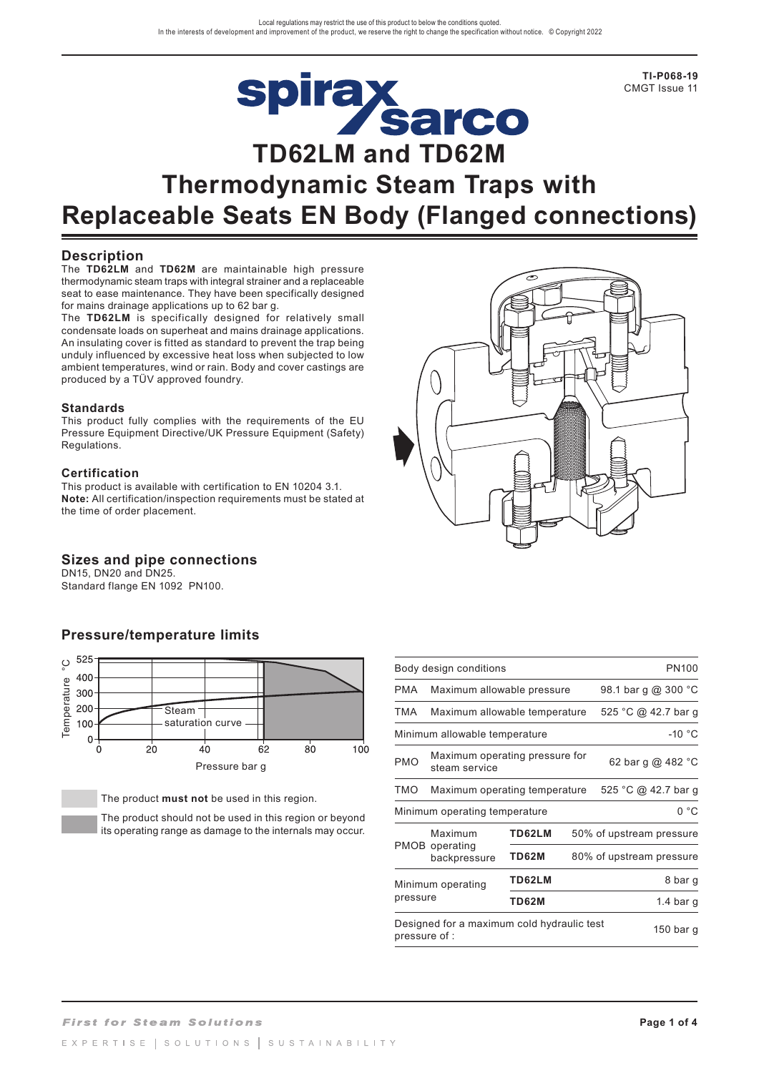

**TI-P068-19** CMGT Issue 11

# **Thermodynamic Steam Traps with Replaceable Seats EN Body (Flanged connections)**

## **Description**

The **TD62LM** and **TD62M** are maintainable high pressure thermodynamic steam traps with integral strainer and a replaceable seat to ease maintenance. They have been specifically designed for mains drainage applications up to 62 bar g.

The **TD62LM** is specifically designed for relatively small condensate loads on superheat and mains drainage applications. An insulating cover is fitted as standard to prevent the trap being unduly influenced by excessive heat loss when subjected to low ambient temperatures, wind or rain. Body and cover castings are produced by a TÜV approved foundry.

#### **Standards**

This product fully complies with the requirements of the EU Pressure Equipment Directive/UK Pressure Equipment (Safety) Regulations.

#### **Certification**

This product is available with certification to EN 10204 3.1. **Note:** All certification/inspection requirements must be stated at the time of order placement.

## **Sizes and pipe connections**

DN15, DN20 and DN25. Standard flange EN 1092 PN100.

## **Pressure/temperature limits**



The product **must not** be used in this region.

The product should not be used in this region or beyond its operating range as damage to the internals may occur.

| پ |  |
|---|--|
|   |  |

| Body design conditions<br>PN100           |                                                                          |              |  |                          |  |
|-------------------------------------------|--------------------------------------------------------------------------|--------------|--|--------------------------|--|
| <b>PMA</b>                                | Maximum allowable pressure                                               |              |  | 98.1 bar g @ 300 °C      |  |
| TMA                                       | Maximum allowable temperature                                            |              |  | 525 °C @ 42.7 bar g      |  |
| $-10 °C$<br>Minimum allowable temperature |                                                                          |              |  |                          |  |
| <b>PMO</b>                                | Maximum operating pressure for<br>62 bar g @ 482 °C<br>steam service     |              |  |                          |  |
| TMO                                       | Maximum operating temperature                                            |              |  | 525 °C @ 42.7 bar g      |  |
| 0 °C<br>Minimum operating temperature     |                                                                          |              |  |                          |  |
|                                           | Maximum                                                                  | TD62LM       |  | 50% of upstream pressure |  |
|                                           | <b>PMOB</b> operating<br>backpressure                                    | <b>TD62M</b> |  | 80% of upstream pressure |  |
| Minimum operating<br>pressure             |                                                                          | TD62LM       |  | 8 bar g                  |  |
|                                           |                                                                          | TD62M        |  | 1.4 bar g                |  |
|                                           | Designed for a maximum cold hydraulic test<br>150 bar g<br>pressure of : |              |  |                          |  |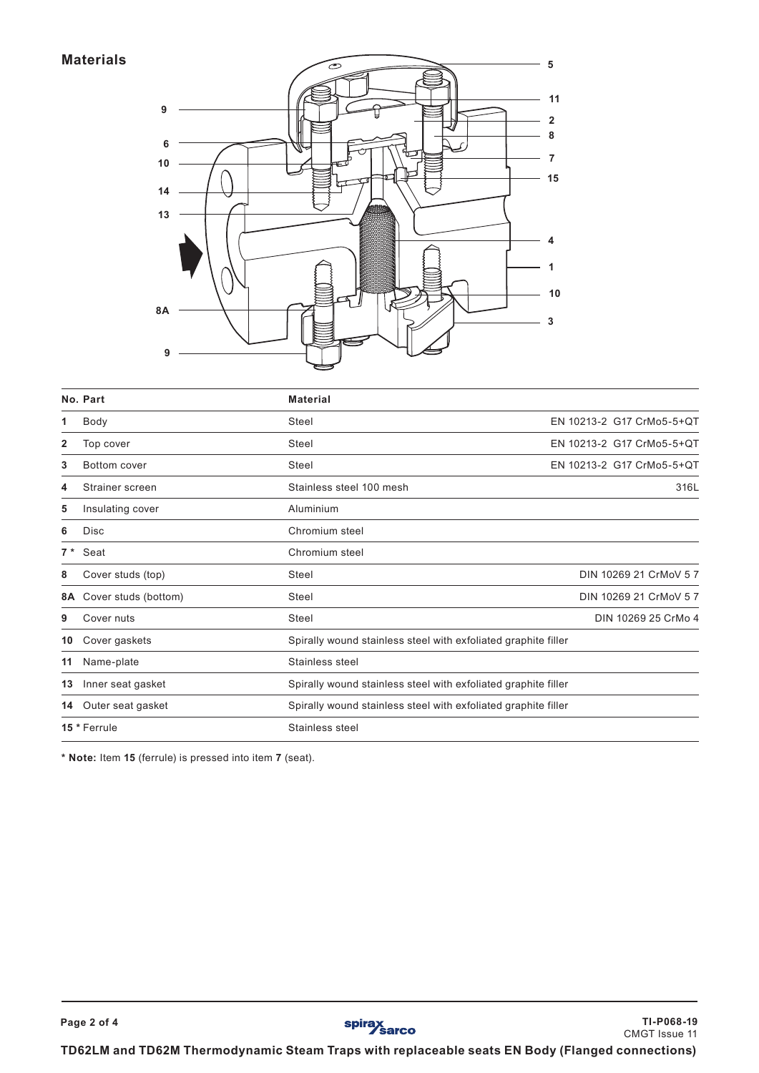## **Materials**



|                | No. Part                        | <b>Material</b>                                                |                           |  |
|----------------|---------------------------------|----------------------------------------------------------------|---------------------------|--|
| 1              | Body                            | Steel                                                          | EN 10213-2 G17 CrMo5-5+QT |  |
| $\overline{2}$ | Top cover                       | Steel                                                          | EN 10213-2 G17 CrMo5-5+QT |  |
| 3              | Bottom cover                    | Steel                                                          | EN 10213-2 G17 CrMo5-5+OT |  |
| 4              | Strainer screen                 | Stainless steel 100 mesh                                       | 316L                      |  |
| 5              | Insulating cover                | Aluminium                                                      |                           |  |
| 6              | <b>Disc</b>                     | Chromium steel                                                 |                           |  |
| $7*$           | Seat                            | Chromium steel                                                 |                           |  |
| 8              | Cover studs (top)               | DIN 10269 21 CrMoV 5 7<br>Steel                                |                           |  |
| 8A             | Cover studs (bottom)            | DIN 10269 21 CrMoV 5 7<br>Steel                                |                           |  |
| 9              | Cover nuts                      | Steel<br>DIN 10269 25 CrMo 4                                   |                           |  |
| 10             | Cover gaskets                   | Spirally wound stainless steel with exfoliated graphite filler |                           |  |
| 11             | Name-plate                      | Stainless steel                                                |                           |  |
| 13             | Inner seat gasket               | Spirally wound stainless steel with exfoliated graphite filler |                           |  |
| 14             | Outer seat gasket               | Spirally wound stainless steel with exfoliated graphite filler |                           |  |
|                | 15 * Ferrule<br>Stainless steel |                                                                |                           |  |

**\* Note:** Item **15** (ferrule) is pressed into item **7** (seat).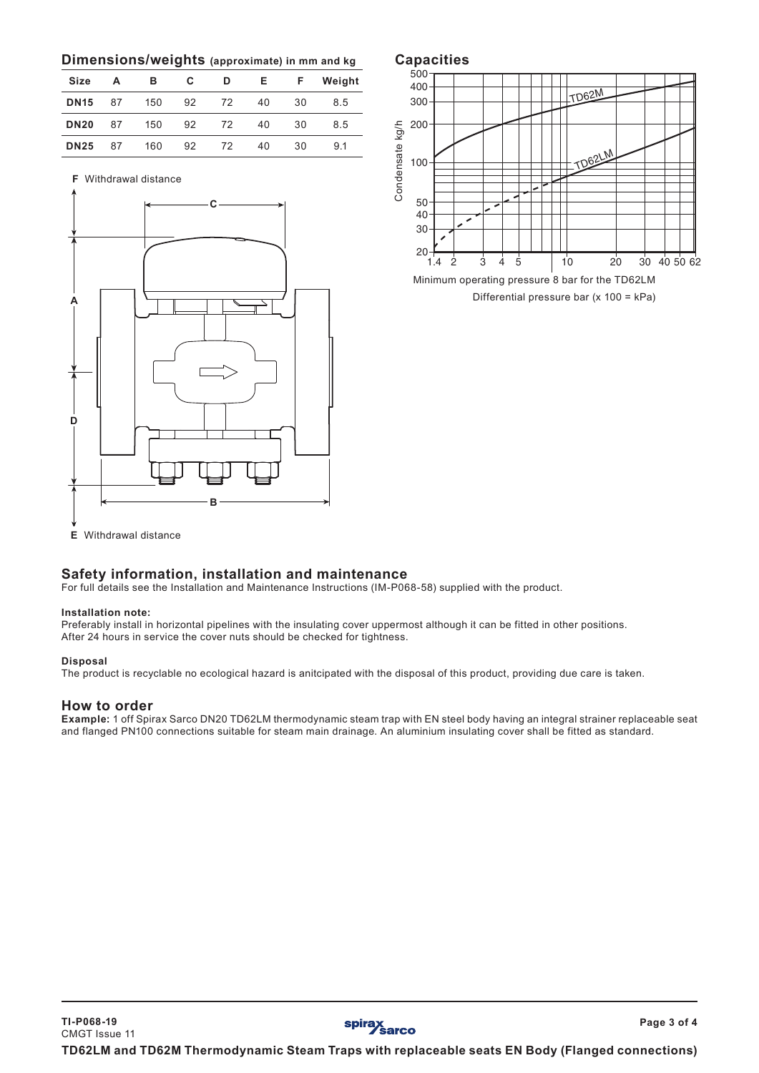## **Dimensions/weights (approximate) in mm and kg**

| <b>Size</b> | А  | в   | C  | D  | E. | F  | Weight |
|-------------|----|-----|----|----|----|----|--------|
| <b>DN15</b> | 87 | 150 | 92 | 72 | 40 | 30 | 8.5    |
| <b>DN20</b> | 87 | 150 | 92 | 72 | 40 | 30 | 8.5    |
| <b>DN25</b> | 87 | 160 | 92 | 72 | 40 | 30 | 9.1    |

**F** Withdrawal distance





Differential pressure bar (x 100 = kPa) Minimum operating pressure 8 bar for the TD62LM

# **Safety information, installation and maintenance**

For full details see the Installation and Maintenance Instructions (IM-P068-58) supplied with the product.

#### **Installation note:**

Preferably install in horizontal pipelines with the insulating cover uppermost although it can be fitted in other positions. After 24 hours in service the cover nuts should be checked for tightness.

#### **Disposal**

The product is recyclable no ecological hazard is anitcipated with the disposal of this product, providing due care is taken.

### **How to order**

**Example:** 1 off Spirax Sarco DN20 TD62LM thermodynamic steam trap with EN steel body having an integral strainer replaceable seat and flanged PN100 connections suitable for steam main drainage. An aluminium insulating cover shall be fitted as standard.